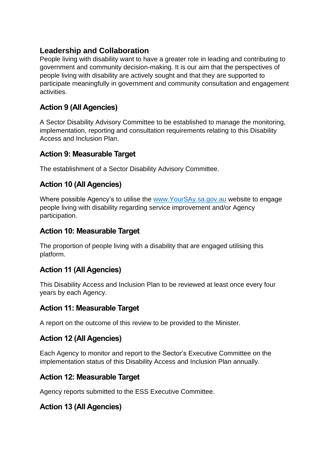# **Leadership and Collaboration**

People living with disability want to have a greater role in leading and contributing to government and community decision-making. It is our aim that the perspectives of people living with disability are actively sought and that they are supported to participate meaningfully in government and community consultation and engagement activities.

# **Action 9 (All Agencies)**

A Sector Disability Advisory Committee to be established to manage the monitoring, implementation, reporting and consultation requirements relating to this Disability Access and Inclusion Plan.

### **Action 9: Measurable Target**

The establishment of a Sector Disability Advisory Committee.

## **Action 10 (All Agencies)**

Where possible Agency's to utilise the [www.YourSAy.sa.gov.au](http://www.yoursay.sa.gov.au/) website to engage people living with disability regarding service improvement and/or Agency participation.

### **Action 10: Measurable Target**

The proportion of people living with a disability that are engaged utilising this platform.

## **Action 11 (All Agencies)**

This Disability Access and Inclusion Plan to be reviewed at least once every four years by each Agency.

#### **Action 11: Measurable Target**

A report on the outcome of this review to be provided to the Minister.

## **Action 12 (All Agencies)**

Each Agency to monitor and report to the Sector's Executive Committee on the implementation status of this Disability Access and Inclusion Plan annually.

## **Action 12: Measurable Target**

Agency reports submitted to the ESS Executive Committee.

## **Action 13 (All Agencies)**